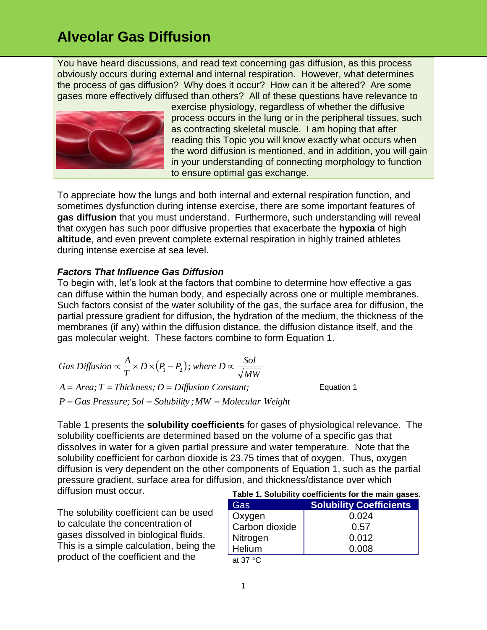You have heard discussions, and read text concerning gas diffusion, as this process obviously occurs during external and internal respiration. However, what determines the process of gas diffusion? Why does it occur? How can it be altered? Are some gases more effectively diffused than others? All of these questions have relevance to



exercise physiology, regardless of whether the diffusive process occurs in the lung or in the peripheral tissues, such as contracting skeletal muscle. I am hoping that after reading this Topic you will know exactly what occurs when the word diffusion is mentioned, and in addition, you will gain in your understanding of connecting morphology to function to ensure optimal gas exchange.

To appreciate how the lungs and both internal and external respiration function, and sometimes dysfunction during intense exercise, there are some important features of **gas diffusion** that you must understand. Furthermore, such understanding will reveal that oxygen has such poor diffusive properties that exacerbate the **hypoxia** of high **altitude**, and even prevent complete external respiration in highly trained athletes during intense exercise at sea level.

#### *Factors That Influence Gas Diffusion*

To begin with, let's look at the factors that combine to determine how effective a gas can diffuse within the human body, and especially across one or multiple membranes. Such factors consist of the water solubility of the gas, the surface area for diffusion, the partial pressure gradient for diffusion, the hydration of the medium, the thickness of the membranes (if any) within the diffusion distance, the diffusion distance itself, and the gas molecular weight. These factors combine to form Equation 1.

| Gas Diffusion $\propto \frac{A}{T} \times D \times (P_1 - P_2)$ ; where $D \propto \frac{Sol}{\sqrt{MW}}$ |            |
|-----------------------------------------------------------------------------------------------------------|------------|
| $A = Area$ ; $T = Thickness$ ; $D = Diffusion Constant$ ;                                                 | Equation 1 |
| $P = Gas \text{ } Pressure; \text{ } Sol = Solubility; MW = Molecular \text{ } Weight$                    |            |

**Table 1. Solubility coefficients for the main gases.** Table 1 presents the **solubility coefficients** for gases of physiological relevance. The solubility coefficients are determined based on the volume of a specific gas that dissolves in water for a given partial pressure and water temperature. Note that the solubility coefficient for carbon dioxide is 23.75 times that of oxygen. Thus, oxygen diffusion is very dependent on the other components of Equation 1, such as the partial pressure gradient, surface area for diffusion, and thickness/distance over which diffusion must occur.

The solubility coefficient can be used to calculate the concentration of gases dissolved in biological fluids. This is a simple calculation, being the product of the coefficient and the

| rable 1. Solubility coefficients for the main gases. |                                |
|------------------------------------------------------|--------------------------------|
| Gas                                                  | <b>Solubility Coefficients</b> |
| Oxygen                                               | 0.024                          |
| Carbon dioxide                                       | 0.57                           |
| Nitrogen                                             | 0.012                          |
| Helium                                               | 0.008                          |
| $\rightarrow$ 0.7 0.0                                |                                |

at 37 $\degree$ C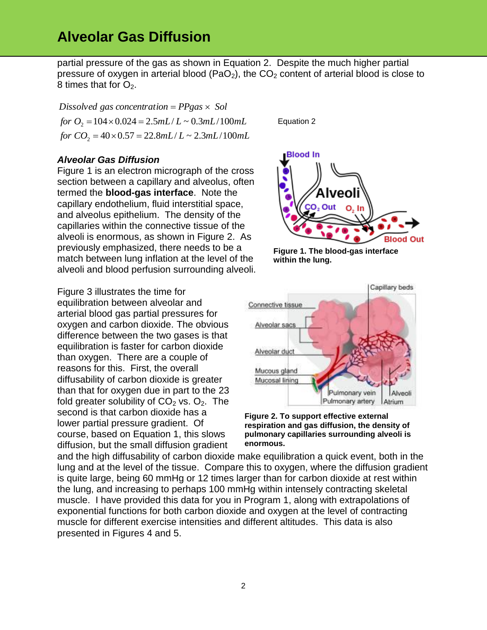partial pressure of the gas as shown in Equation 2. Despite the much higher partial pressure of oxygen in arterial blood (PaO<sub>2</sub>), the  $CO<sub>2</sub>$  content of arterial blood is close to 8 times that for  $O_2$ .

*for*  $CO_2 = 40 \times 0.57 = 22.8$  *mL* $/L \sim 2.3$  *mL* $/100$  *mL for*  $O_2 = 104 \times 0.024 = 2.5$  *mL* $/L \sim 0.3$  *mL* $/100$  *mL Dissolved gas concentration PPgas Sol*

#### *Alveolar Gas Diffusion*

Figure 1 is an electron micrograph of the cross section between a capillary and alveolus, often termed the **blood-gas interface**. Note the capillary endothelium, fluid interstitial space, and alveolus epithelium. The density of the capillaries within the connective tissue of the alveoli is enormous, as shown in Figure 2. As previously emphasized, there needs to be a match between lung inflation at the level of the alveoli and blood perfusion surrounding alveoli.

Figure 3 illustrates the time for equilibration between alveolar and arterial blood gas partial pressures for oxygen and carbon dioxide. The obvious difference between the two gases is that equilibration is faster for carbon dioxide than oxygen. There are a couple of reasons for this. First, the overall diffusability of carbon dioxide is greater than that for oxygen due in part to the 23 fold greater solubility of  $CO<sub>2</sub>$  vs.  $O<sub>2</sub>$ . The second is that carbon dioxide has a lower partial pressure gradient. Of course, based on Equation 1, this slows diffusion, but the small diffusion gradient

Equation 2



**Figure 1. The blood-gas interface within the lung.**





and the high diffusability of carbon dioxide make equilibration a quick event, both in the lung and at the level of the tissue. Compare this to oxygen, where the diffusion gradient is quite large, being 60 mmHg or 12 times larger than for carbon dioxide at rest within the lung, and increasing to perhaps 100 mmHg within intensely contracting skeletal muscle. I have provided this data for you in Program 1, along with extrapolations of exponential functions for both carbon dioxide and oxygen at the level of contracting muscle for different exercise intensities and different altitudes. This data is also presented in Figures 4 and 5.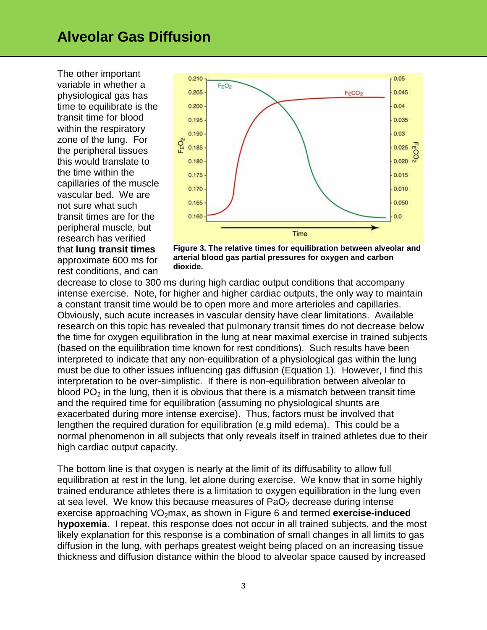The other important variable in whether a physiological gas has time to equilibrate is the transit time for blood within the respiratory zone of the lung. For the peripheral tissues this would translate to the time within the capillaries of the muscle vascular bed. We are not sure what such transit times are for the peripheral muscle, but research has verified that **lung transit times** approximate 600 ms for rest conditions, and can



**Figure 3. The relative times for equilibration between alveolar and arterial blood gas partial pressures for oxygen and carbon dioxide.**

decrease to close to 300 ms during high cardiac output conditions that accompany intense exercise. Note, for higher and higher cardiac outputs, the only way to maintain a constant transit time would be to open more and more arterioles and capillaries. Obviously, such acute increases in vascular density have clear limitations. Available research on this topic has revealed that pulmonary transit times do not decrease below the time for oxygen equilibration in the lung at near maximal exercise in trained subjects (based on the equilibration time known for rest conditions). Such results have been interpreted to indicate that any non-equilibration of a physiological gas within the lung must be due to other issues influencing gas diffusion (Equation 1). However, I find this interpretation to be over-simplistic. If there is non-equilibration between alveolar to blood  $PO<sub>2</sub>$  in the lung, then it is obvious that there is a mismatch between transit time and the required time for equilibration (assuming no physiological shunts are exacerbated during more intense exercise). Thus, factors must be involved that lengthen the required duration for equilibration (e.g mild edema). This could be a normal phenomenon in all subjects that only reveals itself in trained athletes due to their high cardiac output capacity.

The bottom line is that oxygen is nearly at the limit of its diffusability to allow full equilibration at rest in the lung, let alone during exercise. We know that in some highly trained endurance athletes there is a limitation to oxygen equilibration in the lung even at sea level. We know this because measures of  $PaO<sub>2</sub>$  decrease during intense exercise approaching VO<sub>2</sub>max, as shown in Figure 6 and termed **exercise-induced hypoxemia**. I repeat, this response does not occur in all trained subjects, and the most likely explanation for this response is a combination of small changes in all limits to gas diffusion in the lung, with perhaps greatest weight being placed on an increasing tissue thickness and diffusion distance within the blood to alveolar space caused by increased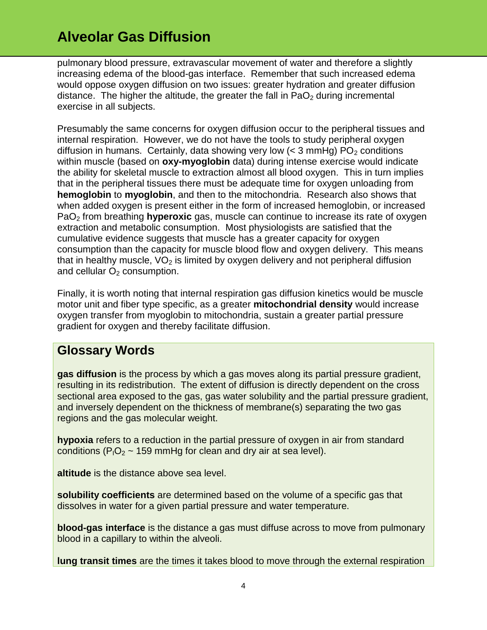pulmonary blood pressure, extravascular movement of water and therefore a slightly increasing edema of the blood-gas interface. Remember that such increased edema would oppose oxygen diffusion on two issues: greater hydration and greater diffusion distance. The higher the altitude, the greater the fall in  $PaO<sub>2</sub>$  during incremental exercise in all subjects.

Presumably the same concerns for oxygen diffusion occur to the peripheral tissues and internal respiration. However, we do not have the tools to study peripheral oxygen diffusion in humans. Certainly, data showing very low  $(<$  3 mmHg) PO<sub>2</sub> conditions within muscle (based on **oxy-myoglobin** data) during intense exercise would indicate the ability for skeletal muscle to extraction almost all blood oxygen. This in turn implies that in the peripheral tissues there must be adequate time for oxygen unloading from **hemoglobin** to **myoglobin**, and then to the mitochondria. Research also shows that when added oxygen is present either in the form of increased hemoglobin, or increased PaO<sup>2</sup> from breathing **hyperoxic** gas, muscle can continue to increase its rate of oxygen extraction and metabolic consumption. Most physiologists are satisfied that the cumulative evidence suggests that muscle has a greater capacity for oxygen consumption than the capacity for muscle blood flow and oxygen delivery. This means that in healthy muscle,  $VO<sub>2</sub>$  is limited by oxygen delivery and not peripheral diffusion and cellular  $O<sub>2</sub>$  consumption.

Finally, it is worth noting that internal respiration gas diffusion kinetics would be muscle motor unit and fiber type specific, as a greater **mitochondrial density** would increase oxygen transfer from myoglobin to mitochondria, sustain a greater partial pressure gradient for oxygen and thereby facilitate diffusion.

### **Glossary Words**

**gas diffusion** is the process by which a gas moves along its partial pressure gradient, resulting in its redistribution. The extent of diffusion is directly dependent on the cross sectional area exposed to the gas, gas water solubility and the partial pressure gradient, and inversely dependent on the thickness of membrane(s) separating the two gas regions and the gas molecular weight.

**hypoxia** refers to a reduction in the partial pressure of oxygen in air from standard conditions ( $P_1O_2 \sim 159$  mmHg for clean and dry air at sea level).

**altitude** is the distance above sea level.

**solubility coefficients** are determined based on the volume of a specific gas that dissolves in water for a given partial pressure and water temperature.

**blood-gas interface** is the distance a gas must diffuse across to move from pulmonary blood in a capillary to within the alveoli.

**lung transit times** are the times it takes blood to move through the external respiration